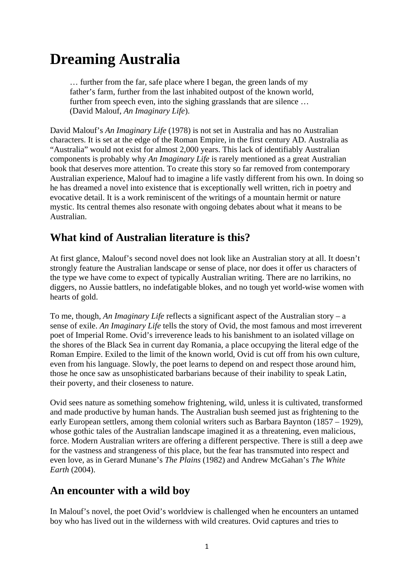# **Dreaming Australia**

… further from the far, safe place where I began, the green lands of my father's farm, further from the last inhabited outpost of the known world, further from speech even, into the sighing grasslands that are silence … (David Malouf, *An Imaginary Life*).

David Malouf's *An Imaginary Life* (1978) is not set in Australia and has no Australian characters. It is set at the edge of the Roman Empire, in the first century AD. Australia as "Australia" would not exist for almost 2,000 years. This lack of identifiably Australian components is probably why *An Imaginary Life* is rarely mentioned as a great Australian book that deserves more attention. To create this story so far removed from contemporary Australian experience, Malouf had to imagine a life vastly different from his own. In doing so he has dreamed a novel into existence that is exceptionally well written, rich in poetry and evocative detail. It is a work reminiscent of the writings of a mountain hermit or nature mystic. Its central themes also resonate with ongoing debates about what it means to be Australian.

### **What kind of Australian literature is this?**

At first glance, Malouf's second novel does not look like an Australian story at all. It doesn't strongly feature the Australian landscape or sense of place, nor does it offer us characters of the type we have come to expect of typically Australian writing. There are no larrikins, no diggers, no Aussie battlers, no indefatigable blokes, and no tough yet world-wise women with hearts of gold.

To me, though, *An Imaginary Life* reflects a significant aspect of the Australian story – a sense of exile. *An Imaginary Life* tells the story of Ovid, the most famous and most irreverent poet of Imperial Rome. Ovid's irreverence leads to his banishment to an isolated village on the shores of the Black Sea in current day Romania, a place occupying the literal edge of the Roman Empire. Exiled to the limit of the known world, Ovid is cut off from his own culture, even from his language. Slowly, the poet learns to depend on and respect those around him, those he once saw as unsophisticated barbarians because of their inability to speak Latin, their poverty, and their closeness to nature.

Ovid sees nature as something somehow frightening, wild, unless it is cultivated, transformed and made productive by human hands. The Australian bush seemed just as frightening to the early European settlers, among them colonial writers such as Barbara Baynton (1857 – 1929), whose gothic tales of the Australian landscape imagined it as a threatening, even malicious, force. Modern Australian writers are offering a different perspective. There is still a deep awe for the vastness and strangeness of this place, but the fear has transmuted into respect and even love, as in Gerard Munane's *The Plains* (1982) and Andrew McGahan's *The White Earth* (2004).

#### **An encounter with a wild boy**

In Malouf's novel, the poet Ovid's worldview is challenged when he encounters an untamed boy who has lived out in the wilderness with wild creatures. Ovid captures and tries to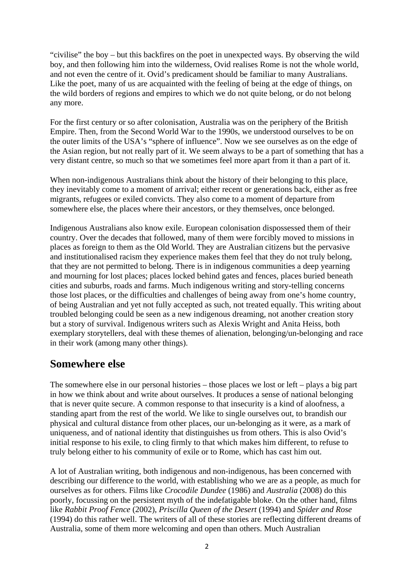"civilise" the boy – but this backfires on the poet in unexpected ways. By observing the wild boy, and then following him into the wilderness, Ovid realises Rome is not the whole world, and not even the centre of it. Ovid's predicament should be familiar to many Australians. Like the poet, many of us are acquainted with the feeling of being at the edge of things, on the wild borders of regions and empires to which we do not quite belong, or do not belong any more.

For the first century or so after colonisation, Australia was on the periphery of the British Empire. Then, from the Second World War to the 1990s, we understood ourselves to be on the outer limits of the USA's "sphere of influence". Now we see ourselves as on the edge of the Asian region, but not really part of it. We seem always to be a part of something that has a very distant centre, so much so that we sometimes feel more apart from it than a part of it.

When non-indigenous Australians think about the history of their belonging to this place, they inevitably come to a moment of arrival; either recent or generations back, either as free migrants, refugees or exiled convicts. They also come to a moment of departure from somewhere else, the places where their ancestors, or they themselves, once belonged.

Indigenous Australians also know exile. European colonisation dispossessed them of their country. Over the decades that followed, many of them were forcibly moved to missions in places as foreign to them as the Old World. They are Australian citizens but the pervasive and institutionalised racism they experience makes them feel that they do not truly belong, that they are not permitted to belong. There is in indigenous communities a deep yearning and mourning for lost places; places locked behind gates and fences, places buried beneath cities and suburbs, roads and farms. Much indigenous writing and story-telling concerns those lost places, or the difficulties and challenges of being away from one's home country, of being Australian and yet not fully accepted as such, not treated equally. This writing about troubled belonging could be seen as a new indigenous dreaming, not another creation story but a story of survival. Indigenous writers such as Alexis Wright and Anita Heiss, both exemplary storytellers, deal with these themes of alienation, belonging/un-belonging and race in their work (among many other things).

#### **Somewhere else**

The somewhere else in our personal histories – those places we lost or left – plays a big part in how we think about and write about ourselves. It produces a sense of national belonging that is never quite secure. A common response to that insecurity is a kind of aloofness, a standing apart from the rest of the world. We like to single ourselves out, to brandish our physical and cultural distance from other places, our un-belonging as it were, as a mark of uniqueness, and of national identity that distinguishes us from others. This is also Ovid's initial response to his exile, to cling firmly to that which makes him different, to refuse to truly belong either to his community of exile or to Rome, which has cast him out.

A lot of Australian writing, both indigenous and non-indigenous, has been concerned with describing our difference to the world, with establishing who we are as a people, as much for ourselves as for others. Films like *Crocodile Dundee* (1986) and *Australia* (2008) do this poorly, focussing on the persistent myth of the indefatigable bloke. On the other hand, films like *Rabbit Proof Fence* (2002), *Priscilla Queen of the Desert* (1994) and *Spider and Rose* (1994) do this rather well. The writers of all of these stories are reflecting different dreams of Australia, some of them more welcoming and open than others. Much Australian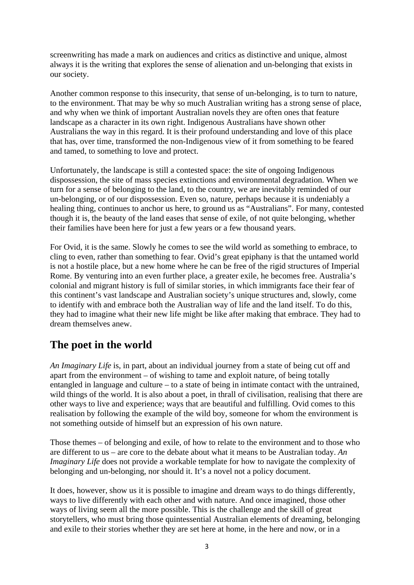screenwriting has made a mark on audiences and critics as distinctive and unique, almost always it is the writing that explores the sense of alienation and un-belonging that exists in our society.

Another common response to this insecurity, that sense of un-belonging, is to turn to nature, to the environment. That may be why so much Australian writing has a strong sense of place, and why when we think of important Australian novels they are often ones that feature landscape as a character in its own right. Indigenous Australians have shown other Australians the way in this regard. It is their profound understanding and love of this place that has, over time, transformed the non-Indigenous view of it from something to be feared and tamed, to something to love and protect.

Unfortunately, the landscape is still a contested space: the site of ongoing Indigenous dispossession, the site of mass species extinctions and environmental degradation. When we turn for a sense of belonging to the land, to the country, we are inevitably reminded of our un-belonging, or of our dispossession. Even so, nature, perhaps because it is undeniably a healing thing, continues to anchor us here, to ground us as "Australians". For many, contested though it is, the beauty of the land eases that sense of exile, of not quite belonging, whether their families have been here for just a few years or a few thousand years.

For Ovid, it is the same. Slowly he comes to see the wild world as something to embrace, to cling to even, rather than something to fear. Ovid's great epiphany is that the untamed world is not a hostile place, but a new home where he can be free of the rigid structures of Imperial Rome. By venturing into an even further place, a greater exile, he becomes free. Australia's colonial and migrant history is full of similar stories, in which immigrants face their fear of this continent's vast landscape and Australian society's unique structures and, slowly, come to identify with and embrace both the Australian way of life and the land itself. To do this, they had to imagine what their new life might be like after making that embrace. They had to dream themselves anew.

## **The poet in the world**

*An Imaginary Life* is, in part, about an individual journey from a state of being cut off and apart from the environment – of wishing to tame and exploit nature, of being totally entangled in language and culture – to a state of being in intimate contact with the untrained, wild things of the world. It is also about a poet, in thrall of civilisation, realising that there are other ways to live and experience; ways that are beautiful and fulfilling. Ovid comes to this realisation by following the example of the wild boy, someone for whom the environment is not something outside of himself but an expression of his own nature.

Those themes – of belonging and exile, of how to relate to the environment and to those who are different to us – are core to the debate about what it means to be Australian today. *An Imaginary Life* does not provide a workable template for how to navigate the complexity of belonging and un-belonging, nor should it. It's a novel not a policy document.

It does, however, show us it is possible to imagine and dream ways to do things differently, ways to live differently with each other and with nature. And once imagined, those other ways of living seem all the more possible. This is the challenge and the skill of great storytellers, who must bring those quintessential Australian elements of dreaming, belonging and exile to their stories whether they are set here at home, in the here and now, or in a